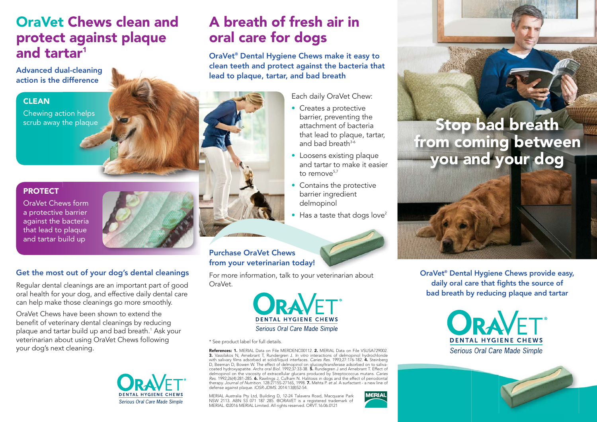## **OraVet Chews clean and protect against plaque and tartar1 ta**

**Advanced dual-cleaning ual-cleaning action is the difference**

### **CLEAN**

Chewing action helps scrub away the plaque

#### **PROTECT**

OraVet Chews form a protective barrier against the bacteria that lead to plaque and tartar build up



### **Get the most out of your dog's dental cleanings**

Regular dental cleanings are an important part of good oral health for your dog, and effective daily dental care can help make those cleanings go more smoothly.

OraVet Chews have been shown to extend the benefit of veterinary dental cleanings by reducing plaque and tartar build up and bad breath.1 Ask your veterinarian about using OraVet Chews following your dog's next cleaning.



# **A breath of fresh air in oral care for dogs**

**OraVet® Dental Hygiene Chews make it easy to clean teeth and protect against the bacteria that lead to plaque, tartar, and bad breath**

Each daily OraVet Chew:

- Creates a protective barrier, preventing the attachment of bacteria that lead to plaque, tartar, and bad breath $3-6$
- Loosens existing plaque and tartar to make it easier to remove<sup>5,7</sup>
- Contains the protective barrier ingredient delmopinol
- Has a taste that dogs love<sup>2</sup>

### **Purchase OraVet Chews from your veterinarian today! ay!**

For more information, talk to your veterinarian about OraVet.



\* See product label for full details.

**References: 1.** MERIAL Data on File MERDENC00112. **2.** MERIAL Data on File VSUSA729002. **3.** Vassilakos N, Arnebrant T, Rundergren J. In vitro interactions of delmopinol hydrochloride<br>with salivary films adsorbed at solid/liquid interfaces. Caries Res. 1993;27:176-182. **4.** Steinberg D, Beeman D, Bowen W. The effect of delmopinol on glucosyltransferase adsorbed on to saliva-coated hydroxyapatite. Archs oral Biol. 1992;37:33-38. **5.** Rundegren J and Arnebrant T. Effect of delmopinol on the viscosity of extracellular glucans produced by Streptococcus mutans. Caries Res. 1992;26(4):281-285. **6.** Rawlings J, Culham N. Halitosis in dogs and the effect of periodontal therapy. *Journal of Nutrition.* 128:2715S-2716S, 1998. **7.** Mehta P. et *al.* A surfactant - a new line of<br>defense against plaque. *IOSR-JDMS.* 2014:13(8)52-54.

MERIAL Australia Pty Ltd, Building D, 12-24 Talavera Road, Macquarie Park NSW 2113. ABN 53 071 187 285. ®ORAVET is a registered trademark of MERIAL. ©2016 MERIAL Limited. All rights reserved. ORVT.16.06.0121



**Stop bad breath from coming between you and your dog**